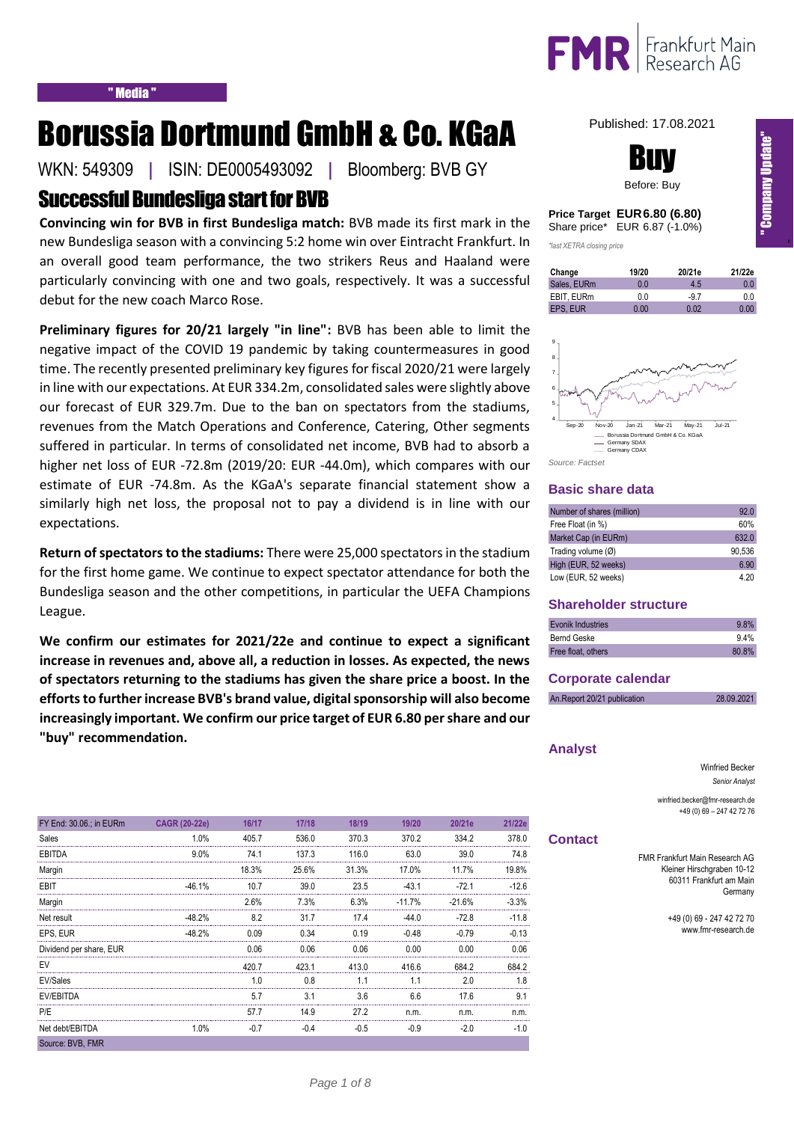

# Borussia Dortmund GmbH & Co. KGaA

WKN: 549309 **|** ISIN: DE0005493092 **|** Bloomberg: BVB GY

## Successful Bundesliga start for BVB

**Convincing win for BVB in first Bundesliga match:** BVB made its first mark in the new Bundesliga season with a convincing 5:2 home win over Eintracht Frankfurt. In an overall good team performance, the two strikers Reus and Haaland were particularly convincing with one and two goals, respectively. It was a successful debut for the new coach Marco Rose.

**Preliminary figures for 20/21 largely "in line":** BVB has been able to limit the negative impact of the COVID 19 pandemic by taking countermeasures in good time. The recently presented preliminary key figures for fiscal 2020/21 were largely in line with our expectations. At EUR 334.2m, consolidated sales were slightly above our forecast of EUR 329.7m. Due to the ban on spectators from the stadiums, revenues from the Match Operations and Conference, Catering, Other segments suffered in particular. In terms of consolidated net income, BVB had to absorb a higher net loss of EUR -72.8m (2019/20: EUR -44.0m), which compares with our estimate of EUR -74.8m. As the KGaA's separate financial statement show a similarly high net loss, the proposal not to pay a dividend is in line with our expectations.

**Return of spectators to the stadiums:** There were 25,000 spectators in the stadium for the first home game. We continue to expect spectator attendance for both the Bundesliga season and the other competitions, in particular the UEFA Champions League.

**We confirm our estimates for 2021/22e and continue to expect a significant increase in revenues and, above all, a reduction in losses. As expected, the news of spectators returning to the stadiums has given the share price a boost. In the efforts to further increase BVB's brand value, digital sponsorship will also become increasingly important. We confirm our price target of EUR 6.80 per share and our "buy" recommendation.** 

| FY End: 30.06.; in EURm | <b>CAGR (20-22e)</b> | 16/17          | 17/18  | 18/19  | 19/20    | 20/21e   | 21/22e   |
|-------------------------|----------------------|----------------|--------|--------|----------|----------|----------|
| Sales                   | 1.0%                 | 405.7          | 536.0  | 370.3  | 370.2    | 334.2    | 3780     |
| EBITDA                  | $9.0\%$              | 74.1           | 137.3  | 116.0  | 63.0     | 39.0     | 74.8     |
| Margin                  |                      | 18.3%          | 25.6%  | 31.3%  | 17.0%    | 11.7%    | 19.8%    |
| EBIT                    | $-46.1%$             | 10.7           | 39.0   | 23.5   | $-431$   | $-72.1$  | $-12.6$  |
| Margin                  |                      | 2.6%           | 7.3%   | 6.3%   | $-11.7%$ | $-21.6%$ | $-3.3\%$ |
| Net result              | $-48.2%$             | 8.2            | 31.7   | 17.4   | -44 0    | $-72.8$  | -11 8    |
| EPS, EUR                | -48.2%               | 0.09           | 0.34   | 0.19   | $-0.48$  | $-0.79$  | -0 13    |
| Dividend per share, EUR |                      | 0.06           | 0.06   | 0.06   | 0.00     | 0.OO     | 0.06     |
| EV                      |                      | 420.7          | 423.1  | 413.0  | 416.6    | 684.2    | 6842     |
| EV/Sales                |                      | 1 <sub>0</sub> | 0.8    |        |          | 20       |          |
| EV/EBITDA               |                      | 5.7            | 3.1    | 3.6    | 66       | 17.6     | 91       |
| P/E                     |                      | 57.7           | 14.9   | 27.2   | n.m.     | n.m      | n.m.     |
| Net debt/EBITDA         | 1.0%                 | $-0.7$         | $-0.4$ | $-0.5$ | $-0.9$   | $-2.0$   | $-1.0$   |
| Source: BVB, FMR        |                      |                |        |        |          |          |          |

Published: 17.08.2021



### **Price Target EUR6.80 (6.80)** Share price\* EUR 6.87 (-1.0%)

*\*last XETRA closing price*

| Change      | 19/20 | 20/21e | 21/22e |
|-------------|-------|--------|--------|
| Sales, EURm | 0 O   | 4.5    | 0.0    |
| EBIT. EURm  | 0 O   | -97    | 0.0    |
| EPS. EUR    | 0.00  | 0.02   | 0.00   |



### **Basic share data**

| Number of shares (million) | 92.0   |
|----------------------------|--------|
| Free Float (in %)          | 60%    |
| Market Cap (in EURm)       | 632.0  |
| Trading volume (Ø)         | 90.536 |
| High (EUR, 52 weeks)       | 6.90   |
| Low (EUR, 52 weeks)        | 4.20   |

### **Shareholder structure**

| Evonik Industries  | 9.8%  |
|--------------------|-------|
| Bernd Geske        | 9.4%  |
| Free float, others | 80.8% |

### **Corporate calendar**

| An.Report 20/21 publication | 28.09.2021 |
|-----------------------------|------------|
|                             |            |

### **Analyst**

Winfried Becker *Senior Analyst*

winfried.becker@fmr-research.de +49 (0) 69 – 247 42 72 76

### **Contact**

FMR Frankfurt Main Research AG Kleiner Hirschgraben 10-12 60311 Frankfurt am Main Germany

> +49 (0) 69 - 247 42 72 70 www.fmr-research.de

In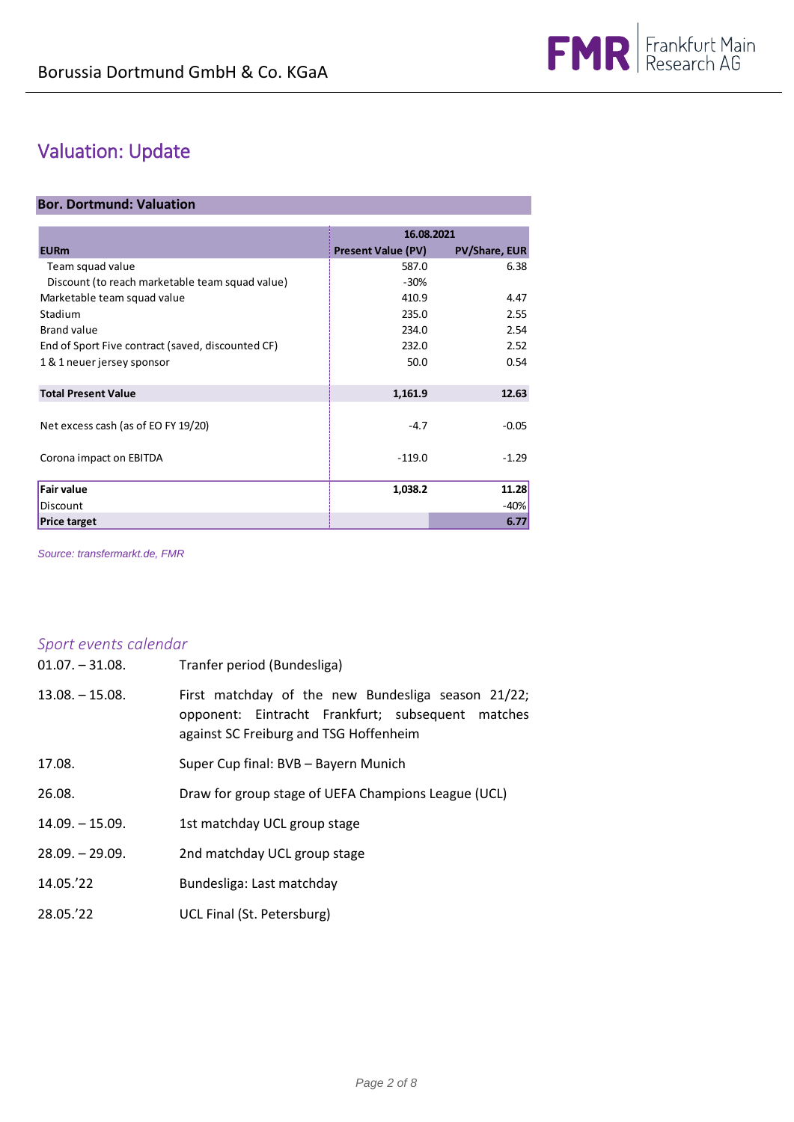## Valuation: Update

### **Bor. Dortmund: Valuation**

|                                                   | 16.08.2021                |                      |  |
|---------------------------------------------------|---------------------------|----------------------|--|
| <b>EURm</b>                                       | <b>Present Value (PV)</b> | <b>PV/Share, EUR</b> |  |
| Team squad value                                  | 587.0                     | 6.38                 |  |
| Discount (to reach marketable team squad value)   | $-30%$                    |                      |  |
| Marketable team squad value                       | 410.9                     | 4.47                 |  |
| Stadium                                           | 235.0                     | 2.55                 |  |
| Brand value                                       | 234.0                     | 2.54                 |  |
| End of Sport Five contract (saved, discounted CF) | 232.0                     | 2.52                 |  |
| 1 & 1 neuer jersey sponsor                        | 50.0                      | 0.54                 |  |
| <b>Total Present Value</b>                        | 1,161.9                   | 12.63                |  |
|                                                   |                           |                      |  |
| Net excess cash (as of EO FY 19/20)               | $-4.7$                    | $-0.05$              |  |
| Corona impact on EBITDA                           | $-119.0$                  | $-1.29$              |  |
| <b>Fair value</b>                                 | 1,038.2                   | 11.28                |  |
| Discount                                          |                           | -40%                 |  |
| <b>Price target</b>                               |                           | 6.77                 |  |

*Source: transfermarkt.de, FMR*

## *Sport events calendar*

| $01.07 - 31.08$ . | Tranfer period (Bundesliga)                                                                                                                       |
|-------------------|---------------------------------------------------------------------------------------------------------------------------------------------------|
| $13.08 - 15.08.$  | First matchday of the new Bundesliga season 21/22;<br>opponent: Eintracht Frankfurt; subsequent matches<br>against SC Freiburg and TSG Hoffenheim |
| 17.08.            | Super Cup final: BVB - Bayern Munich                                                                                                              |
| 26.08.            | Draw for group stage of UEFA Champions League (UCL)                                                                                               |
| $14.09 - 15.09.$  | 1st matchday UCL group stage                                                                                                                      |
| $28.09. - 29.09.$ | 2nd matchday UCL group stage                                                                                                                      |
| 14.05.'22         | Bundesliga: Last matchday                                                                                                                         |
| 28.05.'22         | UCL Final (St. Petersburg)                                                                                                                        |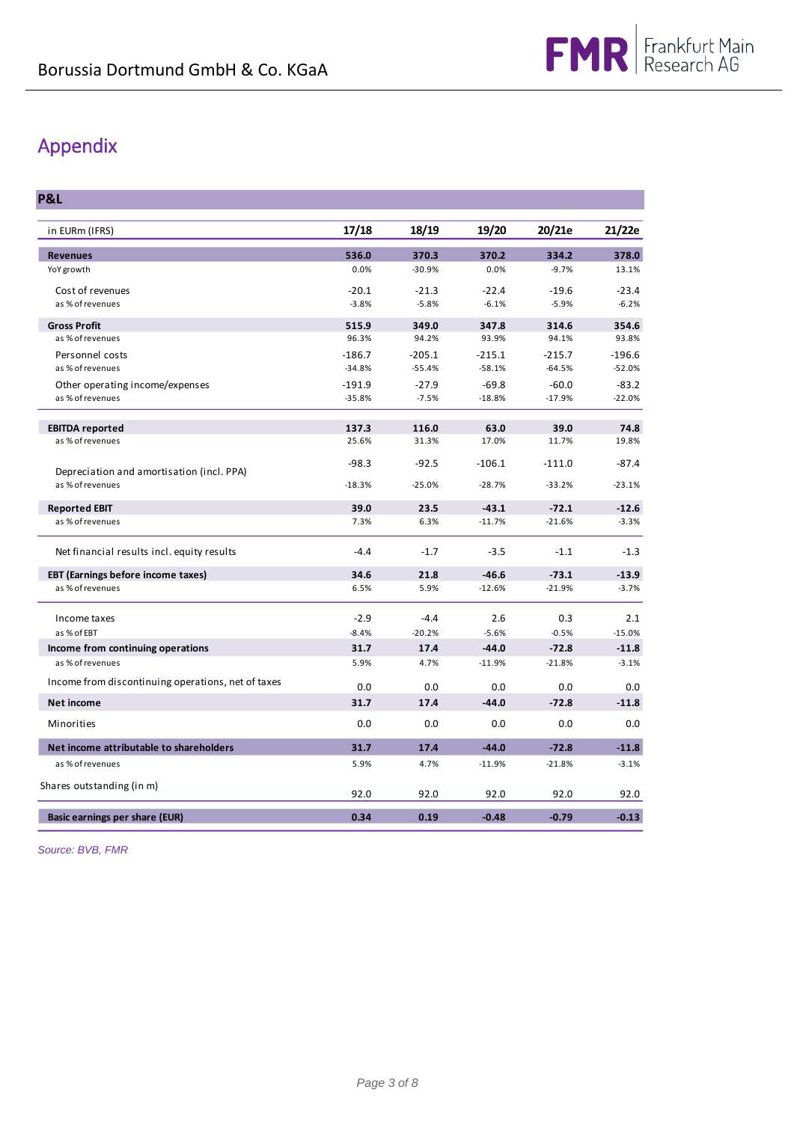## Appendix

**P&L**

| in EURm (IFRS)                                                | 17/18    | 18/19    | 19/20    | 20/21e   | 21/22e   |
|---------------------------------------------------------------|----------|----------|----------|----------|----------|
| <b>Revenues</b>                                               | 536.0    | 370.3    | 370.2    | 334.2    | 378.0    |
| YoY growth                                                    | 0.0%     | $-30.9%$ | 0.0%     | $-9.7%$  | 13.1%    |
| Cost of revenues                                              | $-20.1$  | $-21.3$  | $-22.4$  | $-19.6$  | $-23.4$  |
| as % of revenues                                              | $-3.8%$  | $-5.8%$  | $-6.1%$  | $-5.9%$  | $-6.2%$  |
| <b>Gross Profit</b>                                           | 515.9    | 349.0    | 347.8    | 314.6    | 354.6    |
| as % of revenues                                              | 96.3%    | 94.2%    | 93.9%    | 94.1%    | 93.8%    |
| Personnel costs                                               | $-186.7$ | $-205.1$ | $-215.1$ | $-215.7$ | $-196.6$ |
| as % of revenues                                              | $-34.8%$ | $-55.4%$ | $-58.1%$ | $-64.5%$ | $-52.0%$ |
| Other operating income/expenses                               | $-191.9$ | $-27.9$  | $-69.8$  | $-60.0$  | $-83.2$  |
| as % of revenues                                              | $-35.8%$ | $-7.5%$  | $-18.8%$ | $-17.9%$ | $-22.0%$ |
| <b>EBITDA reported</b>                                        | 137.3    | 116.0    | 63.0     | 39.0     | 74.8     |
| as % of revenues                                              | 25.6%    | 31.3%    | 17.0%    | 11.7%    | 19.8%    |
|                                                               | $-98.3$  | $-92.5$  | $-106.1$ | $-111.0$ | $-87.4$  |
| Depreciation and amortisation (incl. PPA)<br>as % of revenues | $-18.3%$ | $-25.0%$ | $-28.7%$ | $-33.2%$ | $-23.1%$ |
|                                                               |          |          |          |          |          |
| <b>Reported EBIT</b>                                          | 39.0     | 23.5     | $-43.1$  | $-72.1$  | $-12.6$  |
| as % of revenues                                              | 7.3%     | 6.3%     | $-11.7%$ | $-21.6%$ | $-3.3%$  |
| Net financial results incl. equity results                    | $-4.4$   | $-1.7$   | $-3.5$   | $-1.1$   | $-1.3$   |
| <b>EBT (Earnings before income taxes)</b>                     | 34.6     | 21.8     | $-46.6$  | $-73.1$  | $-13.9$  |
| as % of revenues                                              | 6.5%     | 5.9%     | $-12.6%$ | $-21.9%$ | $-3.7%$  |
| Income taxes                                                  | $-2.9$   | $-4.4$   | 2.6      | 0.3      | 2.1      |
| as % of EBT                                                   | $-8.4%$  | $-20.2%$ | $-5.6%$  | $-0.5%$  | $-15.0%$ |
| Income from continuing operations                             | 31.7     | 17.4     | $-44.0$  | $-72.8$  | $-11.8$  |
| as % of revenues                                              | 5.9%     | 4.7%     | $-11.9%$ | $-21.8%$ | $-3.1%$  |
| Income from discontinuing operations, net of taxes            | 0.0      | 0.0      | 0.0      | 0.0      | 0.0      |
| <b>Net income</b>                                             | 31.7     | 17.4     | $-44.0$  | $-72.8$  | $-11.8$  |
| Minorities                                                    | 0.0      | 0.0      | 0.0      | 0.0      | 0.0      |
| Net income attributable to shareholders                       | 31.7     | 17.4     | $-44.0$  | $-72.8$  | $-11.8$  |
| as % of revenues                                              | 5.9%     | 4.7%     | $-11.9%$ | $-21.8%$ | $-3.1%$  |
| Shares outstanding (in m)                                     | 92.0     | 92.0     | 92.0     | 92.0     | 92.0     |
| Basic earnings per share (EUR)                                | 0.34     | 0.19     | $-0.48$  | $-0.79$  | $-0.13$  |
|                                                               |          |          |          |          |          |

*Source: BVB, FMR*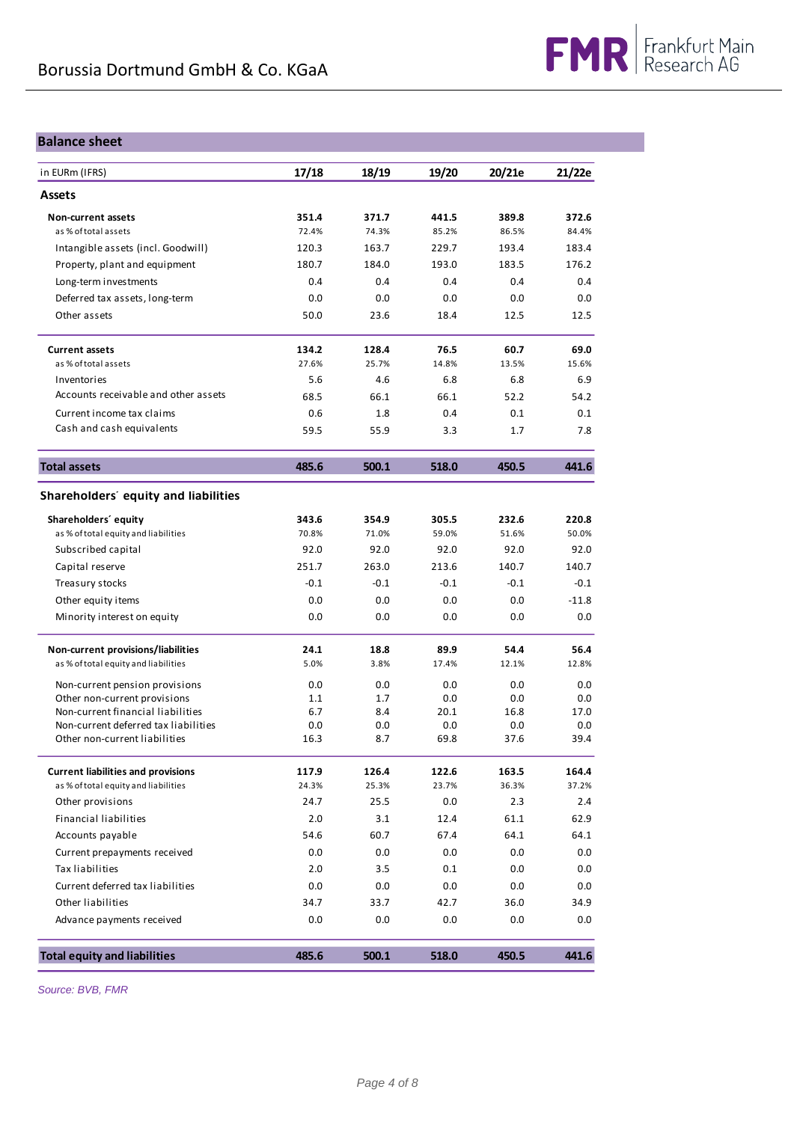### **Balance sheet**

| in EURm (IFRS)                                                        | 17/18       | 18/19      | 19/20       | 20/21e      | 21/22e      |
|-----------------------------------------------------------------------|-------------|------------|-------------|-------------|-------------|
| <b>Assets</b>                                                         |             |            |             |             |             |
| Non-current assets                                                    | 351.4       | 371.7      | 441.5       | 389.8       | 372.6       |
| as % of total assets                                                  | 72.4%       | 74.3%      | 85.2%       | 86.5%       | 84.4%       |
| Intangible assets (incl. Goodwill)                                    | 120.3       | 163.7      | 229.7       | 193.4       | 183.4       |
| Property, plant and equipment                                         | 180.7       | 184.0      | 193.0       | 183.5       | 176.2       |
| Long-term investments                                                 | 0.4         | 0.4        | 0.4         | 0.4         | 0.4         |
| Deferred tax assets, long-term                                        | 0.0         | 0.0        | 0.0         | 0.0         | 0.0         |
| Other assets                                                          | 50.0        | 23.6       | 18.4        | 12.5        | 12.5        |
| <b>Current assets</b>                                                 | 134.2       | 128.4      | 76.5        | 60.7        | 69.0        |
| as % of total assets                                                  | 27.6%       | 25.7%      | 14.8%       | 13.5%       | 15.6%       |
| Inventories                                                           | 5.6         | 4.6        | 6.8         | 6.8         | 6.9         |
| Accounts receivable and other assets                                  | 68.5        | 66.1       | 66.1        | 52.2        | 54.2        |
| Current income tax claims                                             | 0.6         | 1.8        | 0.4         | 0.1         | 0.1         |
| Cash and cash equivalents                                             | 59.5        | 55.9       | 3.3         | 1.7         | 7.8         |
| <b>Total assets</b>                                                   | 485.6       | 500.1      | 518.0       | 450.5       | 441.6       |
| Shareholders' equity and liabilities                                  |             |            |             |             |             |
| Shareholders' equity                                                  | 343.6       | 354.9      | 305.5       | 232.6       | 220.8       |
| as % of total equity and liabilities                                  | 70.8%       | 71.0%      | 59.0%       | 51.6%       | 50.0%       |
| Subscribed capital                                                    | 92.0        | 92.0       | 92.0        | 92.0        | 92.0        |
| Capital reserve                                                       | 251.7       | 263.0      | 213.6       | 140.7       | 140.7       |
| Treasury stocks                                                       | $-0.1$      | $-0.1$     | $-0.1$      | $-0.1$      | $-0.1$      |
| Other equity items                                                    | 0.0         | 0.0        | 0.0         | 0.0         | $-11.8$     |
| Minority interest on equity                                           | 0.0         | 0.0        | 0.0         | 0.0         | 0.0         |
| Non-current provisions/liabilities                                    | 24.1        | 18.8       | 89.9        | 54.4        | 56.4        |
| as % of total equity and liabilities                                  | 5.0%        | 3.8%       | 17.4%       | 12.1%       | 12.8%       |
| Non-current pension provisions                                        | 0.0         | 0.0        | 0.0         | 0.0         | 0.0         |
| Other non-current provisions                                          | 1.1         | 1.7        | 0.0         | 0.0         | 0.0         |
| Non-current financial liabilities                                     | 6.7         | 8.4        | 20.1        | 16.8        | 17.0        |
| Non-current deferred tax liabilities<br>Other non-current liabilities | 0.0<br>16.3 | 0.0<br>8.7 | 0.0<br>69.8 | 0.0<br>37.6 | 0.0<br>39.4 |
| <b>Current liabilities and provisions</b>                             | 117.9       | 126.4      | 122.6       | 163.5       | 164.4       |
| as % of total equity and liabilities                                  | 24.3%       | 25.3%      | 23.7%       | 36.3%       | 37.2%       |
| Other provisions                                                      | 24.7        | 25.5       | 0.0         | 2.3         | 2.4         |
| <b>Financial liabilities</b>                                          | 2.0         | 3.1        | 12.4        | 61.1        | 62.9        |
| Accounts payable                                                      | 54.6        | 60.7       | 67.4        | 64.1        | 64.1        |
| Current prepayments received                                          | 0.0         | 0.0        | 0.0         | 0.0         | 0.0         |
| <b>Tax liabilities</b>                                                | 2.0         | 3.5        | 0.1         | 0.0         | 0.0         |
| Current deferred tax liabilities                                      | 0.0         | 0.0        | 0.0         | 0.0         | 0.0         |
| Other liabilities                                                     | 34.7        | 33.7       | 42.7        | 36.0        | 34.9        |
| Advance payments received                                             | 0.0         | 0.0        | 0.0         | 0.0         | 0.0         |
| <b>Total equity and liabilities</b>                                   | 485.6       | 500.1      | 518.0       | 450.5       | 441.6       |

*Source: BVB, FMR*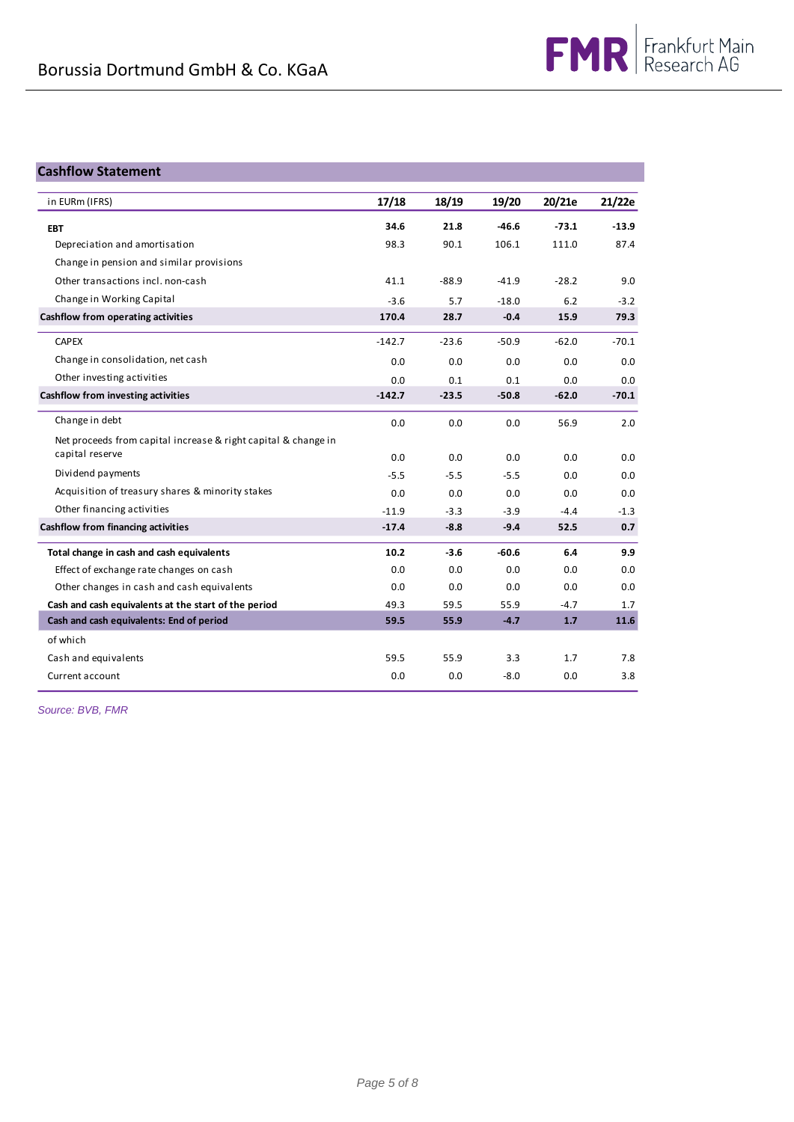### **Cashflow Statement**

| in EURm (IFRS)                                                 | 17/18    | 18/19   | 19/20   | 20/21e  | 21/22e  |
|----------------------------------------------------------------|----------|---------|---------|---------|---------|
| <b>EBT</b>                                                     | 34.6     | 21.8    | $-46.6$ | $-73.1$ | $-13.9$ |
| Depreciation and amortisation                                  | 98.3     | 90.1    | 106.1   | 111.0   | 87.4    |
| Change in pension and similar provisions                       |          |         |         |         |         |
| Other transactions incl. non-cash                              | 41.1     | $-88.9$ | $-41.9$ | $-28.2$ | 9.0     |
| Change in Working Capital                                      | $-3.6$   | 5.7     | $-18.0$ | 6.2     | $-3.2$  |
| Cashflow from operating activities                             | 170.4    | 28.7    | $-0.4$  | 15.9    | 79.3    |
| <b>CAPEX</b>                                                   | $-142.7$ | $-23.6$ | $-50.9$ | $-62.0$ | $-70.1$ |
| Change in consolidation, net cash                              | 0.0      | 0.0     | 0.0     | 0.0     | 0.0     |
| Other investing activities                                     | 0.0      | 0.1     | 0.1     | 0.0     | 0.0     |
| Cashflow from investing activities                             | $-142.7$ | $-23.5$ | $-50.8$ | $-62.0$ | $-70.1$ |
| Change in debt                                                 | 0.0      | 0.0     | 0.0     | 56.9    | 2.0     |
| Net proceeds from capital increase & right capital & change in |          |         |         |         |         |
| capital reserve                                                | 0.0      | 0.0     | 0.0     | 0.0     | 0.0     |
| Dividend payments                                              | $-5.5$   | $-5.5$  | $-5.5$  | 0.0     | 0.0     |
| Acquisition of treasury shares & minority stakes               | 0.0      | 0.0     | 0.0     | 0.0     | 0.0     |
| Other financing activities                                     | $-11.9$  | $-3.3$  | $-3.9$  | $-4.4$  | $-1.3$  |
| Cashflow from financing activities                             | $-17.4$  | $-8.8$  | $-9.4$  | 52.5    | 0.7     |
| Total change in cash and cash equivalents                      | 10.2     | $-3.6$  | $-60.6$ | 6.4     | 9.9     |
| Effect of exchange rate changes on cash                        | 0.0      | 0.0     | 0.0     | 0.0     | 0.0     |
| Other changes in cash and cash equivalents                     | 0.0      | 0.0     | 0.0     | 0.0     | 0.0     |
| Cash and cash equivalents at the start of the period           | 49.3     | 59.5    | 55.9    | $-4.7$  | 1.7     |
| Cash and cash equivalents: End of period                       | 59.5     | 55.9    | $-4.7$  | 1.7     | 11.6    |
| of which                                                       |          |         |         |         |         |
| Cash and equivalents                                           | 59.5     | 55.9    | 3.3     | 1.7     | 7.8     |
| Current account                                                | 0.0      | 0.0     | $-8.0$  | 0.0     | 3.8     |

*Source: BVB, FMR*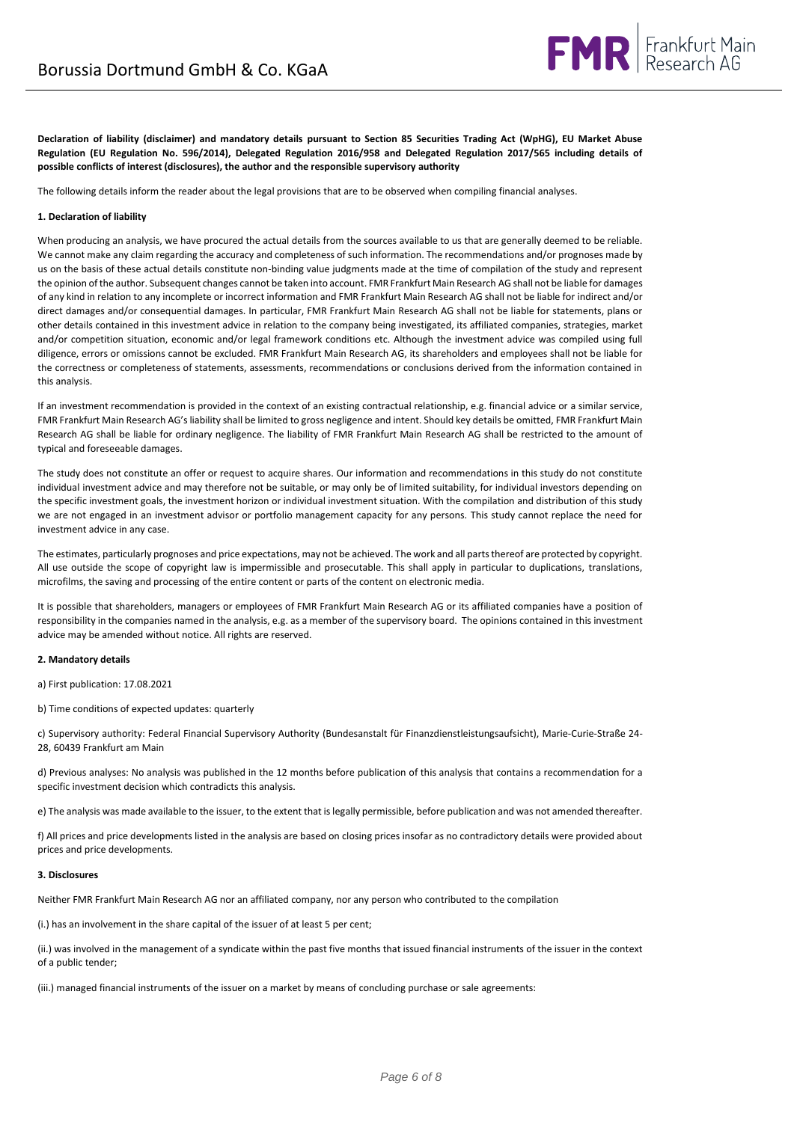

**Declaration of liability (disclaimer) and mandatory details pursuant to Section 85 Securities Trading Act (WpHG), EU Market Abuse Regulation (EU Regulation No. 596/2014), Delegated Regulation 2016/958 and Delegated Regulation 2017/565 including details of possible conflicts of interest (disclosures), the author and the responsible supervisory authority**

The following details inform the reader about the legal provisions that are to be observed when compiling financial analyses.

### **1. Declaration of liability**

When producing an analysis, we have procured the actual details from the sources available to us that are generally deemed to be reliable. We cannot make any claim regarding the accuracy and completeness of such information. The recommendations and/or prognoses made by us on the basis of these actual details constitute non-binding value judgments made at the time of compilation of the study and represent the opinion of the author. Subsequent changes cannot be taken into account. FMR Frankfurt Main Research AG shall not be liable for damages of any kind in relation to any incomplete or incorrect information and FMR Frankfurt Main Research AG shall not be liable for indirect and/or direct damages and/or consequential damages. In particular, FMR Frankfurt Main Research AG shall not be liable for statements, plans or other details contained in this investment advice in relation to the company being investigated, its affiliated companies, strategies, market and/or competition situation, economic and/or legal framework conditions etc. Although the investment advice was compiled using full diligence, errors or omissions cannot be excluded. FMR Frankfurt Main Research AG, its shareholders and employees shall not be liable for the correctness or completeness of statements, assessments, recommendations or conclusions derived from the information contained in this analysis.

If an investment recommendation is provided in the context of an existing contractual relationship, e.g. financial advice or a similar service, FMR Frankfurt Main Research AG's liability shall be limited to gross negligence and intent. Should key details be omitted, FMR Frankfurt Main Research AG shall be liable for ordinary negligence. The liability of FMR Frankfurt Main Research AG shall be restricted to the amount of typical and foreseeable damages.

The study does not constitute an offer or request to acquire shares. Our information and recommendations in this study do not constitute individual investment advice and may therefore not be suitable, or may only be of limited suitability, for individual investors depending on the specific investment goals, the investment horizon or individual investment situation. With the compilation and distribution of this study we are not engaged in an investment advisor or portfolio management capacity for any persons. This study cannot replace the need for investment advice in any case.

The estimates, particularly prognoses and price expectations, may not be achieved. The work and all parts thereof are protected by copyright. All use outside the scope of copyright law is impermissible and prosecutable. This shall apply in particular to duplications, translations, microfilms, the saving and processing of the entire content or parts of the content on electronic media.

It is possible that shareholders, managers or employees of FMR Frankfurt Main Research AG or its affiliated companies have a position of responsibility in the companies named in the analysis, e.g. as a member of the supervisory board. The opinions contained in this investment advice may be amended without notice. All rights are reserved.

#### **2. Mandatory details**

a) First publication: 17.08.2021

b) Time conditions of expected updates: quarterly

c) Supervisory authority: Federal Financial Supervisory Authority (Bundesanstalt für Finanzdienstleistungsaufsicht), Marie-Curie-Straße 24- 28, 60439 Frankfurt am Main

d) Previous analyses: No analysis was published in the 12 months before publication of this analysis that contains a recommendation for a specific investment decision which contradicts this analysis.

e) The analysis was made available to the issuer, to the extent that is legally permissible, before publication and was not amended thereafter.

f) All prices and price developments listed in the analysis are based on closing prices insofar as no contradictory details were provided about prices and price developments.

### **3. Disclosures**

Neither FMR Frankfurt Main Research AG nor an affiliated company, nor any person who contributed to the compilation

(i.) has an involvement in the share capital of the issuer of at least 5 per cent;

(ii.) was involved in the management of a syndicate within the past five months that issued financial instruments of the issuer in the context of a public tender;

(iii.) managed financial instruments of the issuer on a market by means of concluding purchase or sale agreements: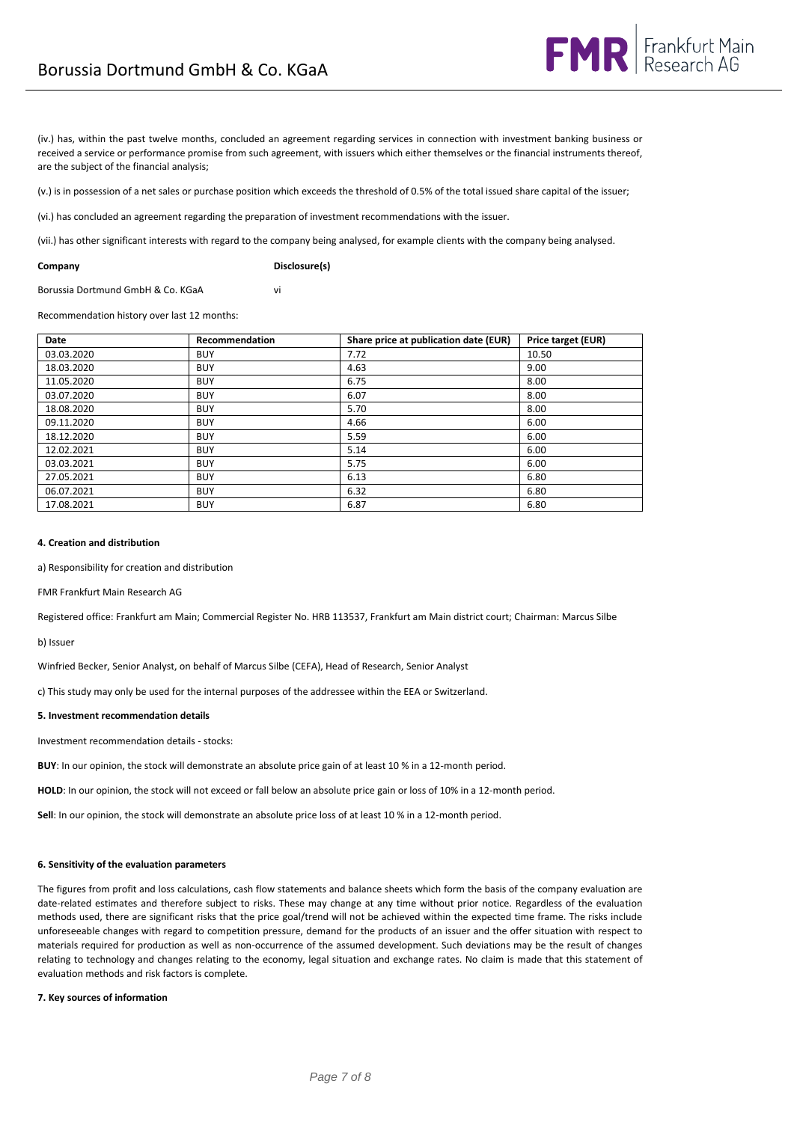(iv.) has, within the past twelve months, concluded an agreement regarding services in connection with investment banking business or received a service or performance promise from such agreement, with issuers which either themselves or the financial instruments thereof, are the subject of the financial analysis;

(v.) is in possession of a net sales or purchase position which exceeds the threshold of 0.5% of the total issued share capital of the issuer;

(vi.) has concluded an agreement regarding the preparation of investment recommendations with the issuer.

(vii.) has other significant interests with regard to the company being analysed, for example clients with the company being analysed.

**Company Disclosure(s)**

Borussia Dortmund GmbH & Co. KGaA vi

Recommendation history over last 12 months:

| Date       | Recommendation | Share price at publication date (EUR) | Price target (EUR) |
|------------|----------------|---------------------------------------|--------------------|
| 03.03.2020 | <b>BUY</b>     | 7.72                                  | 10.50              |
| 18.03.2020 | <b>BUY</b>     | 4.63                                  | 9.00               |
| 11.05.2020 | <b>BUY</b>     | 6.75                                  | 8.00               |
| 03.07.2020 | <b>BUY</b>     | 6.07                                  | 8.00               |
| 18.08.2020 | <b>BUY</b>     | 5.70                                  | 8.00               |
| 09.11.2020 | <b>BUY</b>     | 4.66                                  | 6.00               |
| 18.12.2020 | <b>BUY</b>     | 5.59                                  | 6.00               |
| 12.02.2021 | <b>BUY</b>     | 5.14                                  | 6.00               |
| 03.03.2021 | <b>BUY</b>     | 5.75                                  | 6.00               |
| 27.05.2021 | <b>BUY</b>     | 6.13                                  | 6.80               |
| 06.07.2021 | <b>BUY</b>     | 6.32                                  | 6.80               |
| 17.08.2021 | <b>BUY</b>     | 6.87                                  | 6.80               |

#### **4. Creation and distribution**

a) Responsibility for creation and distribution

FMR Frankfurt Main Research AG

Registered office: Frankfurt am Main; Commercial Register No. HRB 113537, Frankfurt am Main district court; Chairman: Marcus Silbe

b) Issuer

Winfried Becker, Senior Analyst, on behalf of Marcus Silbe (CEFA), Head of Research, Senior Analyst

c) This study may only be used for the internal purposes of the addressee within the EEA or Switzerland.

#### **5. Investment recommendation details**

Investment recommendation details - stocks:

**BUY**: In our opinion, the stock will demonstrate an absolute price gain of at least 10 % in a 12-month period.

**HOLD**: In our opinion, the stock will not exceed or fall below an absolute price gain or loss of 10% in a 12-month period.

**Sell**: In our opinion, the stock will demonstrate an absolute price loss of at least 10 % in a 12-month period.

### **6. Sensitivity of the evaluation parameters**

The figures from profit and loss calculations, cash flow statements and balance sheets which form the basis of the company evaluation are date-related estimates and therefore subject to risks. These may change at any time without prior notice. Regardless of the evaluation methods used, there are significant risks that the price goal/trend will not be achieved within the expected time frame. The risks include unforeseeable changes with regard to competition pressure, demand for the products of an issuer and the offer situation with respect to materials required for production as well as non-occurrence of the assumed development. Such deviations may be the result of changes relating to technology and changes relating to the economy, legal situation and exchange rates. No claim is made that this statement of evaluation methods and risk factors is complete.

#### **7. Key sources of information**